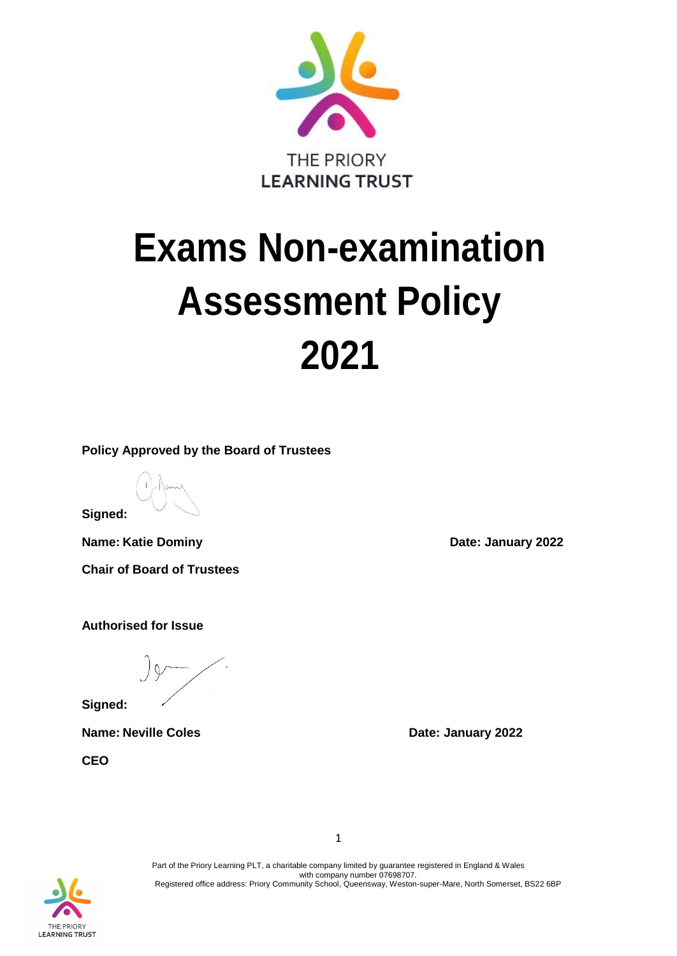

# **Exams Non-examination Assessment Policy 2021**

**Policy Approved by the Board of Trustees**

**Signed:**

**Name:** Katie Dominy **Date:** January 2022

**Chair of Board of Trustees**

**Authorised for Issue**

**Signed:**

**Name:** Neville Coles **Date:** January 2022

**CEO**

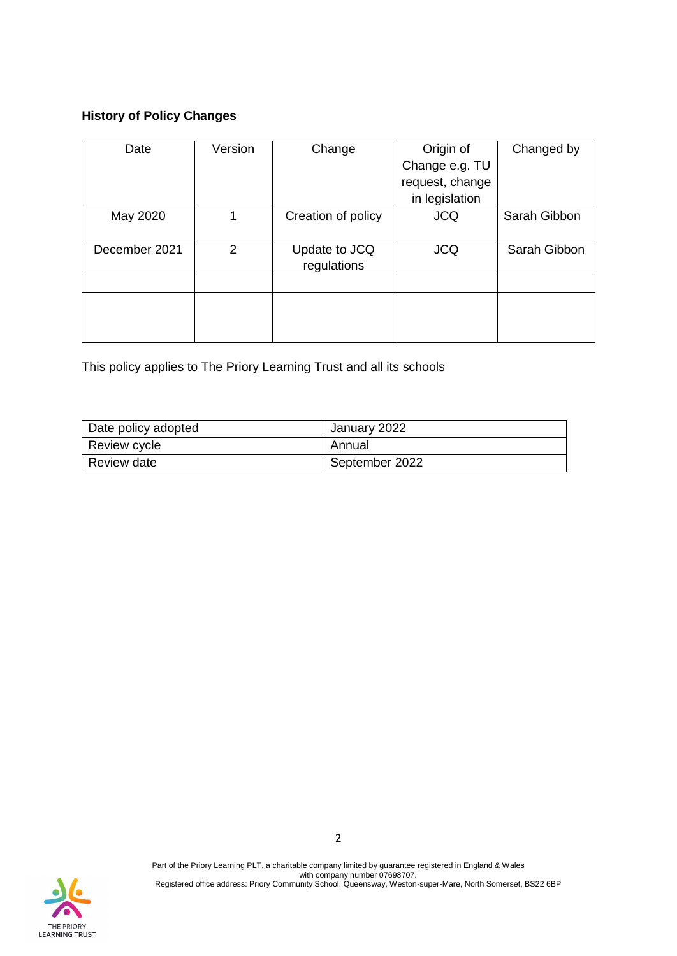## **History of Policy Changes**

| Date          | Version | Change             | Origin of       | Changed by   |
|---------------|---------|--------------------|-----------------|--------------|
|               |         |                    | Change e.g. TU  |              |
|               |         |                    | request, change |              |
|               |         |                    | in legislation  |              |
| May 2020      |         | Creation of policy | <b>JCQ</b>      | Sarah Gibbon |
|               |         |                    |                 |              |
| December 2021 | 2       | Update to JCQ      | <b>JCQ</b>      | Sarah Gibbon |
|               |         | regulations        |                 |              |
|               |         |                    |                 |              |
|               |         |                    |                 |              |
|               |         |                    |                 |              |
|               |         |                    |                 |              |

This policy applies to The Priory Learning Trust and all its schools

| Date policy adopted | January 2022   |  |
|---------------------|----------------|--|
| Review cycle        | Annual         |  |
| Review date         | September 2022 |  |

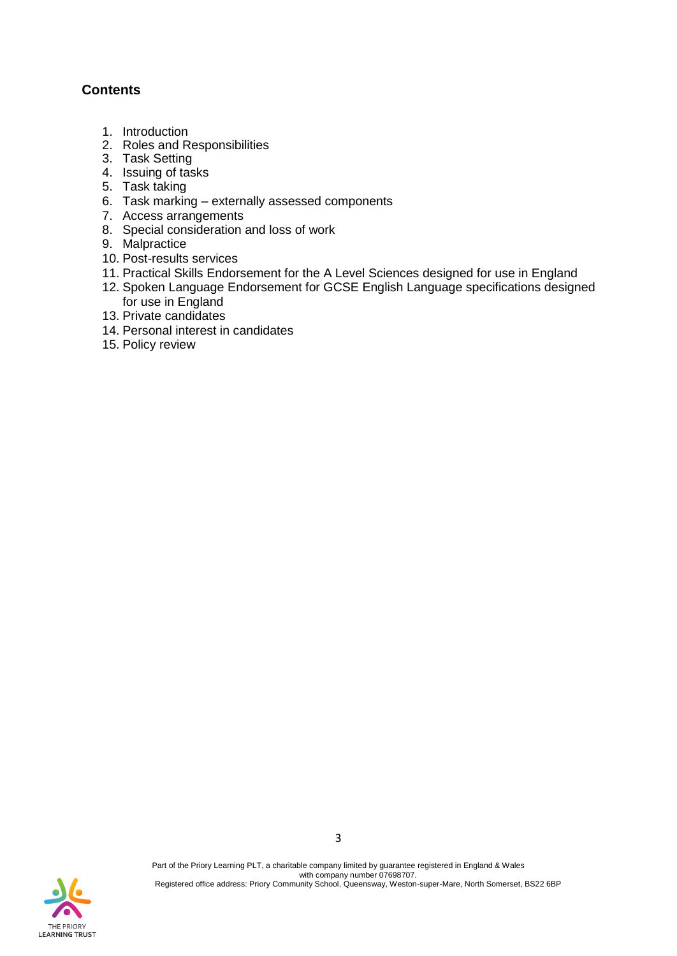## **Contents**

- 1. Introduction
- 2. Roles and Responsibilities
- 3. Task Setting
- 4. Issuing of tasks
- 5. Task taking
- 6. Task marking externally assessed components
- 7. Access arrangements
- 8. Special consideration and loss of work
- 9. Malpractice
- 10. Post-results services
- 11. Practical Skills Endorsement for the A Level Sciences designed for use in England
- 12. Spoken Language Endorsement for GCSE English Language specifications designed for use in England
- 13. Private candidates
- 14. Personal interest in candidates
- 15. Policy review

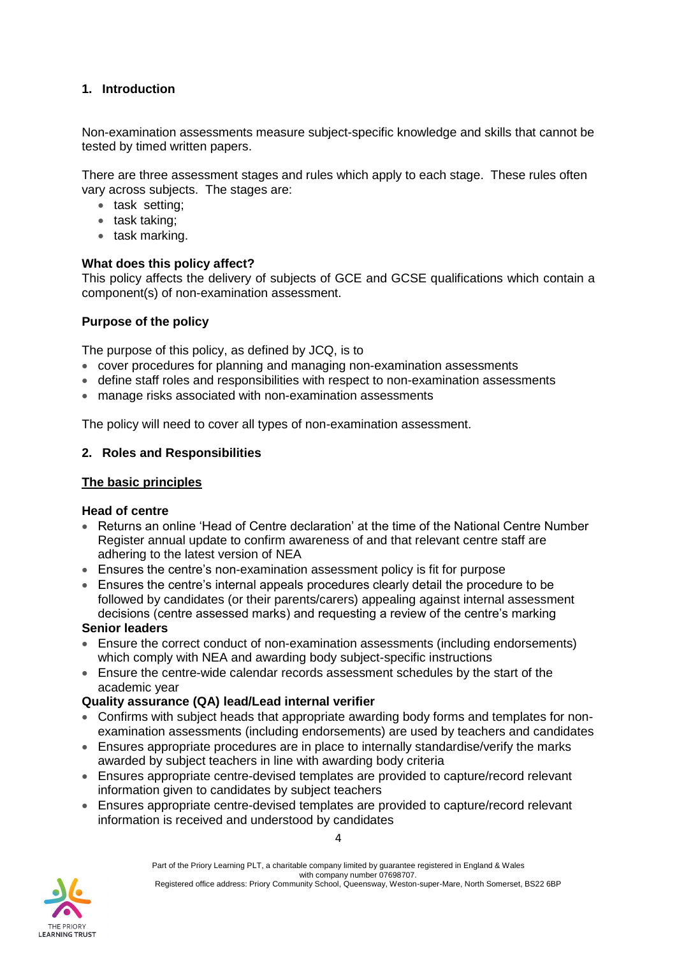## **1. Introduction**

Non-examination assessments measure subject-specific knowledge and skills that cannot be tested by timed written papers.

There are three assessment stages and rules which apply to each stage. These rules often vary across subjects. The stages are:

- task setting;
- task taking;
- task marking.

#### **What does this policy affect?**

This policy affects the delivery of subjects of GCE and GCSE qualifications which contain a component(s) of non-examination assessment.

#### **Purpose of the policy**

The purpose of this policy, as defined by JCQ, is to

- cover procedures for planning and managing non-examination assessments
- define staff roles and responsibilities with respect to non-examination assessments
- manage risks associated with non-examination assessments

The policy will need to cover all types of non-examination assessment.

#### **2. Roles and Responsibilities**

#### **The basic principles**

#### **Head of centre**

- Returns an online 'Head of Centre declaration' at the time of the National Centre Number Register annual update to confirm awareness of and that relevant centre staff are adhering to the latest version of [NEA](http://www.jcq.org.uk/exams-office/non-examination-assessments)
- Ensures the centre's non-examination assessment policy is fit for purpose
- Ensures the centre's internal appeals procedures clearly detail the procedure to be followed by candidates (or their parents/carers) appealing against internal assessment decisions (centre assessed marks) and requesting a review of the centre's marking

#### **Senior leaders**

- Ensure the correct conduct of non-examination assessments (including endorsements) which comply with [NEA](http://www.jcq.org.uk/exams-office/non-examination-assessments) and awarding body subject-specific instructions
- Ensure the centre-wide calendar records assessment schedules by the start of the academic year

#### **Quality assurance (QA) lead/Lead internal verifier**

- Confirms with subject heads that appropriate awarding body forms and templates for nonexamination assessments (including endorsements) are used by teachers and candidates
- Ensures appropriate procedures are in place to internally standardise/verify the marks awarded by subject teachers in line with awarding body criteria
- Ensures appropriate centre-devised templates are provided to capture/record relevant information given to candidates by subject teachers
- Ensures appropriate centre-devised templates are provided to capture/record relevant information is received and understood by candidates

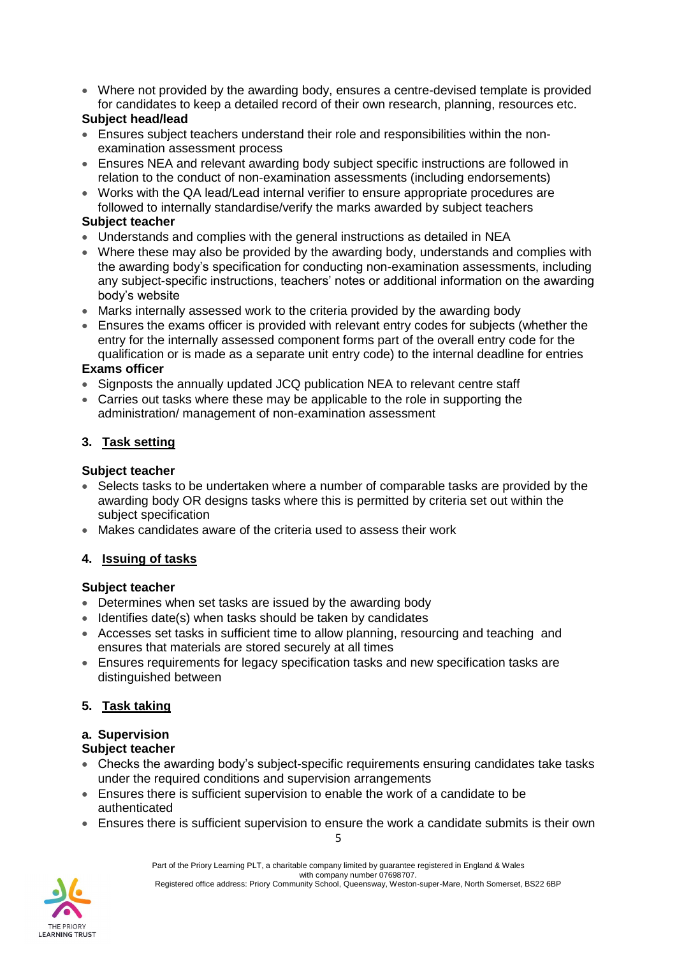• Where not provided by the awarding body, ensures a centre-devised template is provided for candidates to keep a detailed record of their own research, planning, resources etc.

## **Subject head/lead**

- Ensures subject teachers understand their role and responsibilities within the nonexamination assessment process
- Ensures [NEA](http://www.jcq.org.uk/exams-office/non-examination-assessments) and relevant awarding body subject specific instructions are followed in relation to the conduct of non-examination assessments (including endorsements)
- Works with the QA lead/Lead internal verifier to ensure appropriate procedures are followed to internally standardise/verify the marks awarded by subject teachers

#### **Subject teacher**

- Understands and complies with the general instructions as detailed in [NEA](http://www.jcq.org.uk/exams-office/non-examination-assessments)
- Where these may also be provided by the awarding body, understands and complies with the awarding body's specification for conducting non-examination assessments, including any subject-specific instructions, teachers' notes or additional information on the awarding body's website
- Marks internally assessed work to the criteria provided by the awarding body
- Ensures the exams officer is provided with relevant entry codes for subjects (whether the entry for the internally assessed component forms part of the overall entry code for the qualification or is made as a separate unit entry code) to the internal deadline for entries

## **Exams officer**

- Signposts the annually updated JCQ publication [NEA](http://www.jcq.org.uk/exams-office/non-examination-assessments) to relevant centre staff
- Carries out tasks where these may be applicable to the role in supporting the administration/ management of non-examination assessment

## **3. Task setting**

#### **Subject teacher**

- Selects tasks to be undertaken where a number of comparable tasks are provided by the awarding body OR designs tasks where this is permitted by criteria set out within the subject specification
- Makes candidates aware of the criteria used to assess their work

## **4. Issuing of tasks**

#### **Subject teacher**

- Determines when set tasks are issued by the awarding body
- Identifies date(s) when tasks should be taken by candidates
- Accesses set tasks in sufficient time to allow planning, resourcing and teaching and ensures that materials are stored securely at all times
- Ensures requirements for legacy specification tasks and new specification tasks are distinguished between

## **5. Task taking**

## **a. Supervision**

#### **Subject teacher**

- Checks the awarding body's subject-specific requirements ensuring candidates take tasks under the required conditions and supervision arrangements
- Ensures there is sufficient supervision to enable the work of a candidate to be authenticated
- Ensures there is sufficient supervision to ensure the work a candidate submits is their own

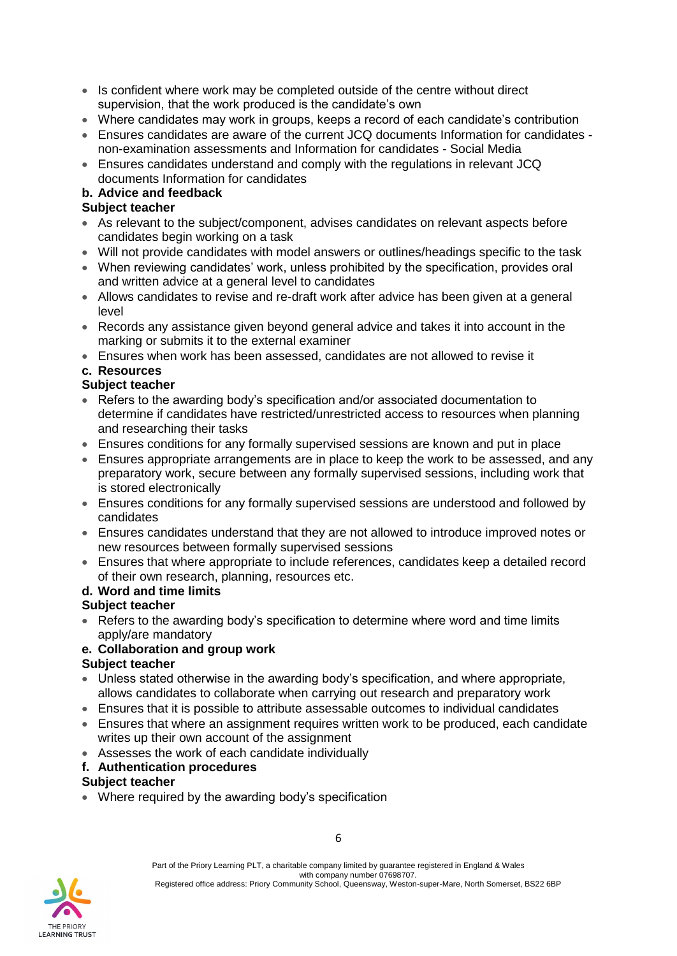- Is confident where work may be completed outside of the centre without direct supervision, that the work produced is the candidate's own
- Where candidates may work in groups, keeps a record of each candidate's contribution
- Ensures candidates are aware of the current JCQ documents [Information for candidates](http://www.jcq.org.uk/exams-office/information-for-candidates-documents)  [non-examination assessments](http://www.jcq.org.uk/exams-office/information-for-candidates-documents) and [Information for candidates -](http://www.jcq.org.uk/exams-office/information-for-candidates-documents) Social Media
- Ensures candidates understand and comply with the regulations in relevant JCQ documents Information for candidates

## **b. Advice and feedback**

## **Subject teacher**

- As relevant to the subject/component, advises candidates on relevant aspects before candidates begin working on a task
- Will not provide candidates with model answers or outlines/headings specific to the task
- When reviewing candidates' work, unless prohibited by the specification, provides oral and written advice at a general level to candidates
- Allows candidates to revise and re-draft work after advice has been given at a general level
- Records any assistance given beyond general advice and takes it into account in the marking or submits it to the external examiner
- Ensures when work has been assessed, candidates are not allowed to revise it

## **c. Resources**

## **Subject teacher**

- Refers to the awarding body's specification and/or associated documentation to determine if candidates have restricted/unrestricted access to resources when planning and researching their tasks
- Ensures conditions for any formally supervised sessions are known and put in place
- Ensures appropriate arrangements are in place to keep the work to be assessed, and any preparatory work, secure between any formally supervised sessions, including work that is stored electronically
- Ensures conditions for any formally supervised sessions are understood and followed by candidates
- Ensures candidates understand that they are not allowed to introduce improved notes or new resources between formally supervised sessions
- Ensures that where appropriate to include references, candidates keep a detailed record of their own research, planning, resources etc.

## **d. Word and time limits**

## **Subject teacher**

• Refers to the awarding body's specification to determine where word and time limits apply/are mandatory

## **e. Collaboration and group work**

## **Subject teacher**

- Unless stated otherwise in the awarding body's specification, and where appropriate, allows candidates to collaborate when carrying out research and preparatory work
- Ensures that it is possible to attribute assessable outcomes to individual candidates
- Ensures that where an assignment requires written work to be produced, each candidate writes up their own account of the assignment
- Assesses the work of each candidate individually
- **f. Authentication procedures**

## **Subject teacher**

• Where required by the awarding body's specification

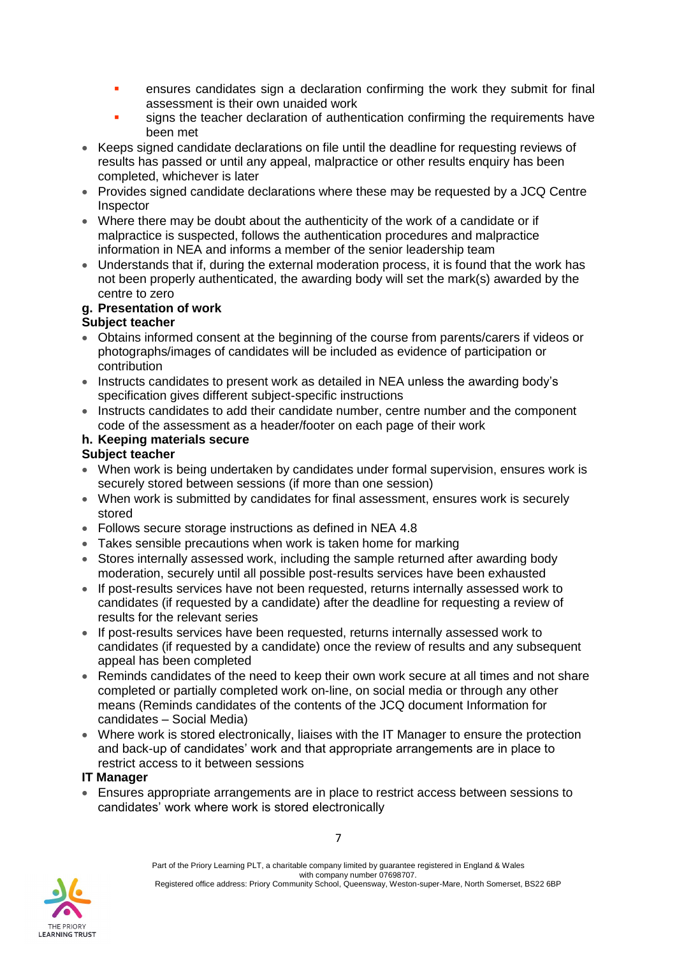- **•** ensures candidates sign a declaration confirming the work they submit for final assessment is their own unaided work
- signs the teacher declaration of authentication confirming the requirements have been met
- Keeps signed candidate declarations on file until the deadline for requesting reviews of results has passed or until any appeal, malpractice or other results enquiry has been completed, whichever is later
- Provides signed candidate declarations where these may be requested by a JCQ Centre **Inspector**
- Where there may be doubt about the authenticity of the work of a candidate or if malpractice is suspected, follows the authentication procedures and malpractice information in [NEA](http://www.jcq.org.uk/exams-office/non-examination-assessments) and informs a member of the senior leadership team
- Understands that if, during the external moderation process, it is found that the work has not been properly authenticated, the awarding body will set the mark(s) awarded by the centre to zero

## **g. Presentation of work**

## **Subject teacher**

- Obtains informed consent at the beginning of the course from parents/carers if videos or photographs/images of candidates will be included as evidence of participation or contribution
- Instructs candidates to present work as detailed in [NEA](http://www.jcq.org.uk/exams-office/non-examination-assessments) unless the awarding body's specification gives different subject-specific instructions
- Instructs candidates to add their candidate number, centre number and the component code of the assessment as a header/footer on each page of their work

## **h. Keeping materials secure**

## **Subject teacher**

- When work is being undertaken by candidates under formal supervision, ensures work is securely stored between sessions (if more than one session)
- When work is submitted by candidates for final assessment, ensures work is securely stored
- Follows secure storage instructions as defined in [NEA](http://www.jcq.org.uk/exams-office/non-examination-assessments) 4.8
- Takes sensible precautions when work is taken home for marking
- Stores internally assessed work, including the sample returned after awarding body moderation, securely until all possible post-results services have been exhausted
- If post-results services have not been requested, returns internally assessed work to candidates (if requested by a candidate) after the deadline for requesting a review of results for the relevant series
- If post-results services have been requested, returns internally assessed work to candidates (if requested by a candidate) once the review of results and any subsequent appeal has been completed
- Reminds candidates of the need to keep their own work secure at all times and not share completed or partially completed work on-line, on social media or through any other means (Reminds candidates of the contents of the JCQ document Information for candidates – Social Media)
- Where work is stored electronically, liaises with the IT Manager to ensure the protection and back-up of candidates' work and that appropriate arrangements are in place to restrict access to it between sessions

#### **IT Manager**

• Ensures appropriate arrangements are in place to restrict access between sessions to candidates' work where work is stored electronically

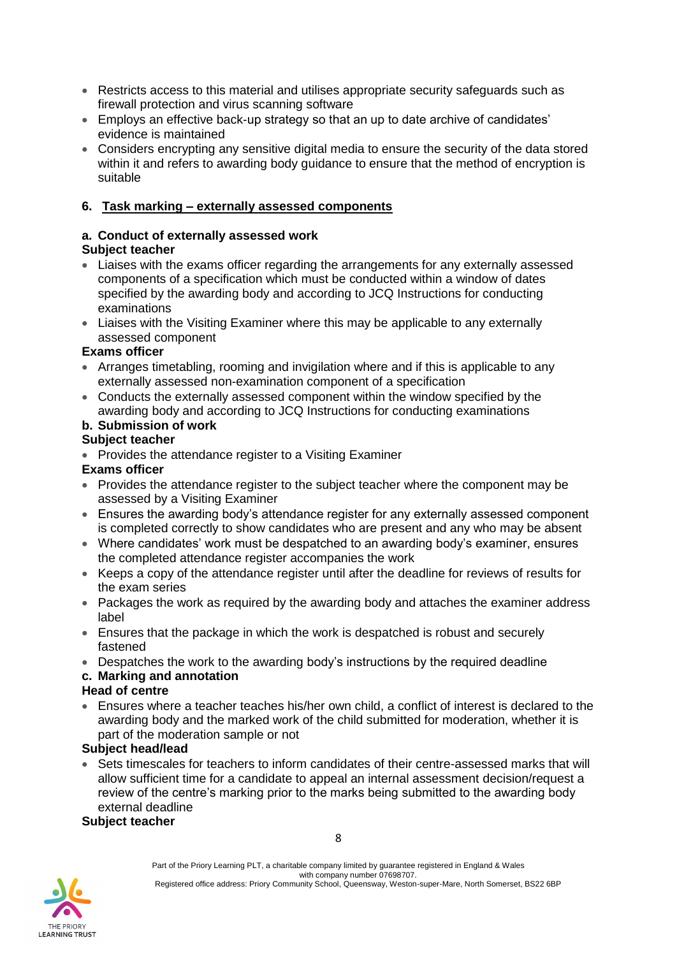- Restricts access to this material and utilises appropriate security safeguards such as firewall protection and virus scanning software
- Employs an effective back-up strategy so that an up to date archive of candidates' evidence is maintained
- Considers encrypting any sensitive digital media to ensure the security of the data stored within it and refers to awarding body guidance to ensure that the method of encryption is suitable

#### **6. Task marking – externally assessed components**

## **a. Conduct of externally assessed work**

## **Subject teacher**

- Liaises with the exams officer regarding the arrangements for any externally assessed components of a specification which must be conducted within a window of dates specified by the awarding body and according to JCQ Instructions for conducting examinations
- Liaises with the Visiting Examiner where this may be applicable to any externally assessed component

#### **Exams officer**

- Arranges timetabling, rooming and invigilation where and if this is applicable to any externally assessed non-examination component of a specification
- Conducts the externally assessed component within the window specified by the awarding body and according to JCQ Instructions for conducting examinations

## **b. Submission of work**

#### **Subject teacher**

• Provides the attendance register to a Visiting Examiner

#### **Exams officer**

- Provides the attendance register to the subject teacher where the component may be assessed by a Visiting Examiner
- Ensures the awarding body's attendance register for any externally assessed component is completed correctly to show candidates who are present and any who may be absent
- Where candidates' work must be despatched to an awarding body's examiner, ensures the completed attendance register accompanies the work
- Keeps a copy of the attendance register until after the deadline for reviews of results for the exam series
- Packages the work as required by the awarding body and attaches the examiner address label
- Ensures that the package in which the work is despatched is robust and securely fastened
- Despatches the work to the awarding body's instructions by the required deadline

## **c. Marking and annotation**

#### **Head of centre**

• Ensures where a teacher teaches his/her own child, a conflict of interest is declared to the awarding body and the marked work of the child submitted for moderation, whether it is part of the moderation sample or not

## **Subject head/lead**

• Sets timescales for teachers to inform candidates of their centre-assessed marks that will allow sufficient time for a candidate to appeal an internal assessment decision/request a review of the centre's marking prior to the marks being submitted to the awarding body external deadline

#### **Subject teacher**

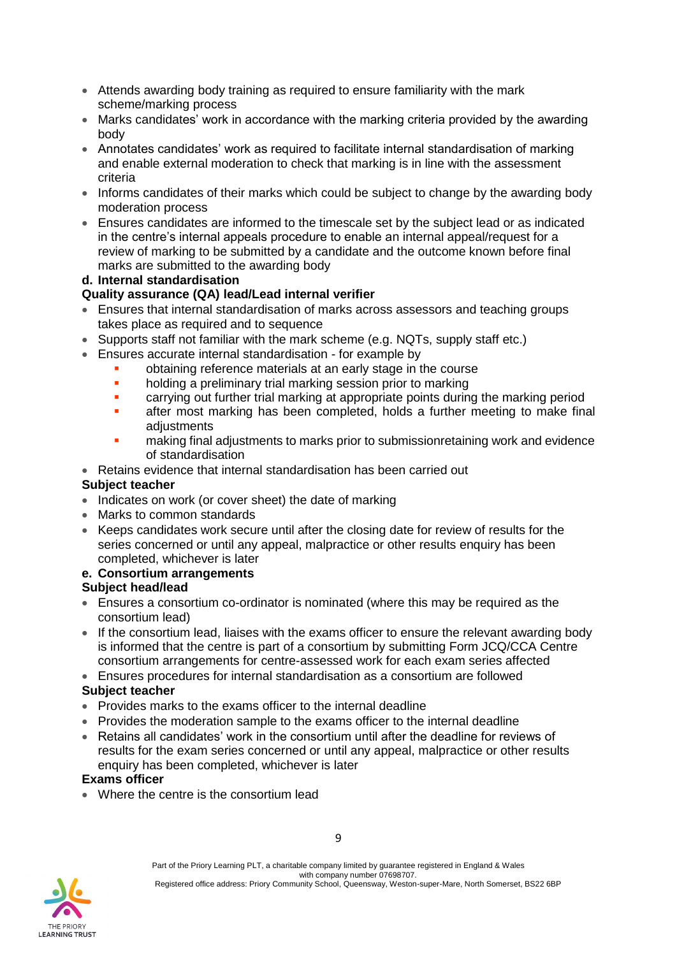- Attends awarding body training as required to ensure familiarity with the mark scheme/marking process
- Marks candidates' work in accordance with the marking criteria provided by the awarding body
- Annotates candidates' work as required to facilitate internal standardisation of marking and enable external moderation to check that marking is in line with the assessment criteria
- Informs candidates of their marks which could be subject to change by the awarding body moderation process
- Ensures candidates are informed to the timescale set by the subject lead or as indicated in the centre's internal appeals procedure to enable an internal appeal/request for a review of marking to be submitted by a candidate and the outcome known before final marks are submitted to the awarding body

## **d. Internal standardisation**

#### **Quality assurance (QA) lead/Lead internal verifier**

- Ensures that internal standardisation of marks across assessors and teaching groups takes place as required and to sequence
- Supports staff not familiar with the mark scheme (e.g. NQTs, supply staff etc.)
- Ensures accurate internal standardisation for example by
	- obtaining reference materials at an early stage in the course
	- holding a preliminary trial marking session prior to marking
	- **•** carrying out further trial marking at appropriate points during the marking period
	- after most marking has been completed, holds a further meeting to make final adjustments
	- making final adjustments to marks prior to submissionretaining work and evidence of standardisation
- Retains evidence that internal standardisation has been carried out

#### **Subject teacher**

- Indicates on work (or cover sheet) the date of marking
- Marks to common standards
- Keeps candidates work secure until after the closing date for review of results for the series concerned or until any appeal, malpractice or other results enquiry has been completed, whichever is later

#### **e. Consortium arrangements**

#### **Subject head/lead**

- Ensures a consortium co-ordinator is nominated (where this may be required as the consortium lead)
- If the consortium lead, liaises with the exams officer to ensure the relevant awarding body is informed that the centre is part of a consortium by submitting Form JCQ/CCA Centre consortium arrangements for centre-assessed work for each exam series affected
- Ensures procedures for internal standardisation as a consortium are followed **Subject teacher**
- Provides marks to the exams officer to the internal deadline
- Provides the moderation sample to the exams officer to the internal deadline
- Retains all candidates' work in the consortium until after the deadline for reviews of results for the exam series concerned or until any appeal, malpractice or other results enquiry has been completed, whichever is later

#### **Exams officer**

• Where the centre is the consortium lead

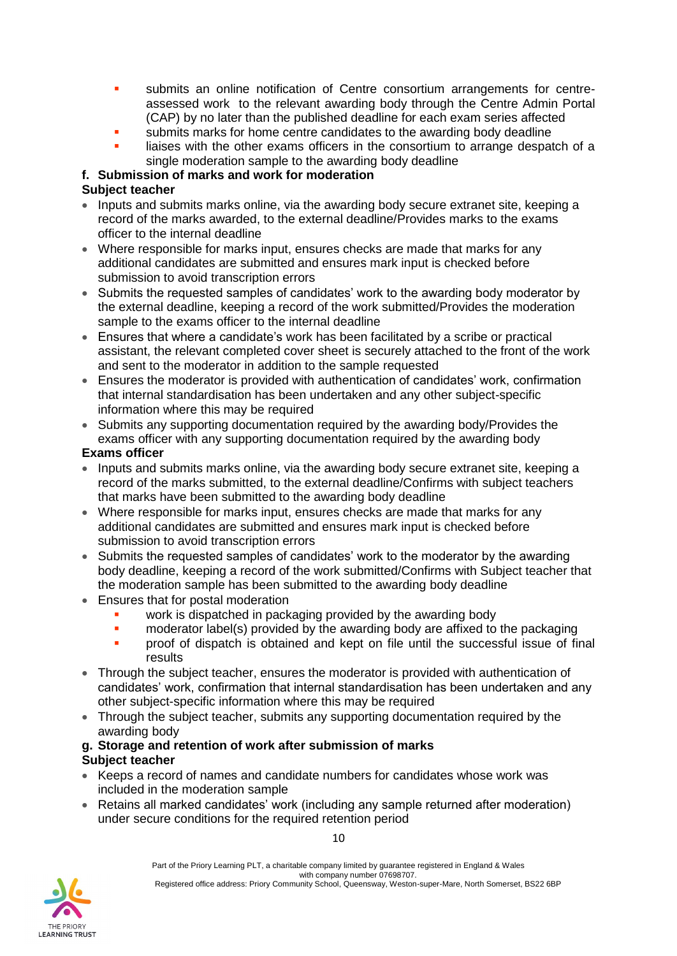- submits an online notification of Centre consortium arrangements for centreassessed work to the relevant awarding body through the Centre Admin Portal (CAP) by no later than the published deadline for each exam series affected
- submits marks for home centre candidates to the awarding body deadline
- liaises with the other exams officers in the consortium to arrange despatch of a single moderation sample to the awarding body deadline

## **f. Submission of marks and work for moderation**

## **Subject teacher**

- Inputs and submits marks online, via the awarding body secure extranet site, keeping a record of the marks awarded, to the external deadline/Provides marks to the exams officer to the internal deadline
- Where responsible for marks input, ensures checks are made that marks for any additional candidates are submitted and ensures mark input is checked before submission to avoid transcription errors
- Submits the requested samples of candidates' work to the awarding body moderator by the external deadline, keeping a record of the work submitted/Provides the moderation sample to the exams officer to the internal deadline
- Ensures that where a candidate's work has been facilitated by a scribe or practical assistant, the relevant completed cover sheet is securely attached to the front of the work and sent to the moderator in addition to the sample requested
- Ensures the moderator is provided with authentication of candidates' work, confirmation that internal standardisation has been undertaken and any other subject-specific information where this may be required
- Submits any supporting documentation required by the awarding body/Provides the exams officer with any supporting documentation required by the awarding body **Exams officer**
- Inputs and submits marks online, via the awarding body secure extranet site, keeping a record of the marks submitted, to the external deadline/Confirms with subject teachers that marks have been submitted to the awarding body deadline
- Where responsible for marks input, ensures checks are made that marks for any additional candidates are submitted and ensures mark input is checked before submission to avoid transcription errors
- Submits the requested samples of candidates' work to the moderator by the awarding body deadline, keeping a record of the work submitted/Confirms with Subject teacher that the moderation sample has been submitted to the awarding body deadline
- Ensures that for postal moderation
	- work is dispatched in packaging provided by the awarding body
	- **•** moderator label(s) provided by the awarding body are affixed to the packaging
	- **•** proof of dispatch is obtained and kept on file until the successful issue of final results
- Through the subject teacher, ensures the moderator is provided with authentication of candidates' work, confirmation that internal standardisation has been undertaken and any other subject-specific information where this may be required
- Through the subject teacher, submits any supporting documentation required by the awarding body

#### **g. Storage and retention of work after submission of marks Subject teacher**

- Keeps a record of names and candidate numbers for candidates whose work was included in the moderation sample
- Retains all marked candidates' work (including any sample returned after moderation) under secure conditions for the required retention period

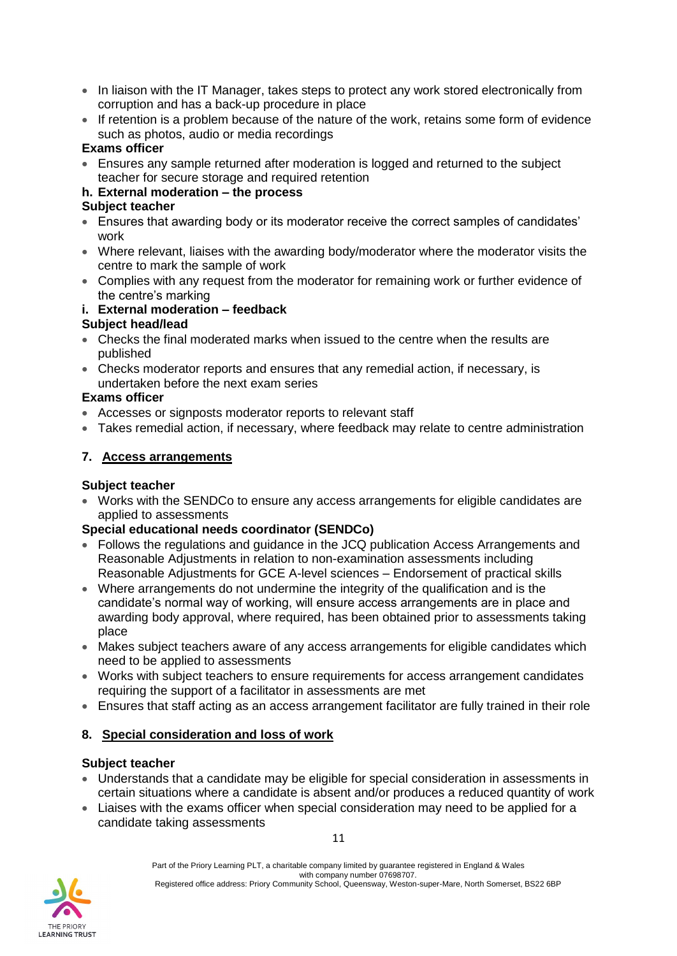- In liaison with the IT Manager, takes steps to protect any work stored electronically from corruption and has a back-up procedure in place
- If retention is a problem because of the nature of the work, retains some form of evidence such as photos, audio or media recordings

## **Exams officer**

• Ensures any sample returned after moderation is logged and returned to the subject teacher for secure storage and required retention

## **h. External moderation – the process**

#### **Subject teacher**

- Ensures that awarding body or its moderator receive the correct samples of candidates' work
- Where relevant, liaises with the awarding body/moderator where the moderator visits the centre to mark the sample of work
- Complies with any request from the moderator for remaining work or further evidence of the centre's marking

#### **i. External moderation – feedback**

#### **Subject head/lead**

- Checks the final moderated marks when issued to the centre when the results are published
- Checks moderator reports and ensures that any remedial action, if necessary, is undertaken before the next exam series

#### **Exams officer**

- Accesses or signposts moderator reports to relevant staff
- Takes remedial action, if necessary, where feedback may relate to centre administration

#### **7. Access arrangements**

#### **Subject teacher**

• Works with the SENDCo to ensure any access arrangements for eligible candidates are applied to assessments

## **Special educational needs coordinator (SENDCo)**

- Follows the regulations and guidance in the JCQ publication [Access Arrangements and](http://www.jcq.org.uk/exams-office/access-arrangements-and-special-consideration)  [Reasonable Adjustments](http://www.jcq.org.uk/exams-office/access-arrangements-and-special-consideration) in relation to non-examination assessments including [Reasonable Adjustments for GCE A-level sciences –](https://www.jcq.org.uk/exams-office/access-arrangements-and-special-consideration/regulations-and-guidance) Endorsement of practical skills
- Where arrangements do not undermine the integrity of the qualification and is the candidate's normal way of working, will ensure access arrangements are in place and awarding body approval, where required, has been obtained prior to assessments taking place
- Makes subject teachers aware of any access arrangements for eligible candidates which need to be applied to assessments
- Works with subject teachers to ensure requirements for access arrangement candidates requiring the support of a facilitator in assessments are met
- Ensures that staff acting as an access arrangement facilitator are fully trained in their role

## **8. Special consideration and loss of work**

#### **Subject teacher**

- Understands that a candidate may be eligible for special consideration in assessments in certain situations where a candidate is absent and/or produces a reduced quantity of work
- Liaises with the exams officer when special consideration may need to be applied for a candidate taking assessments

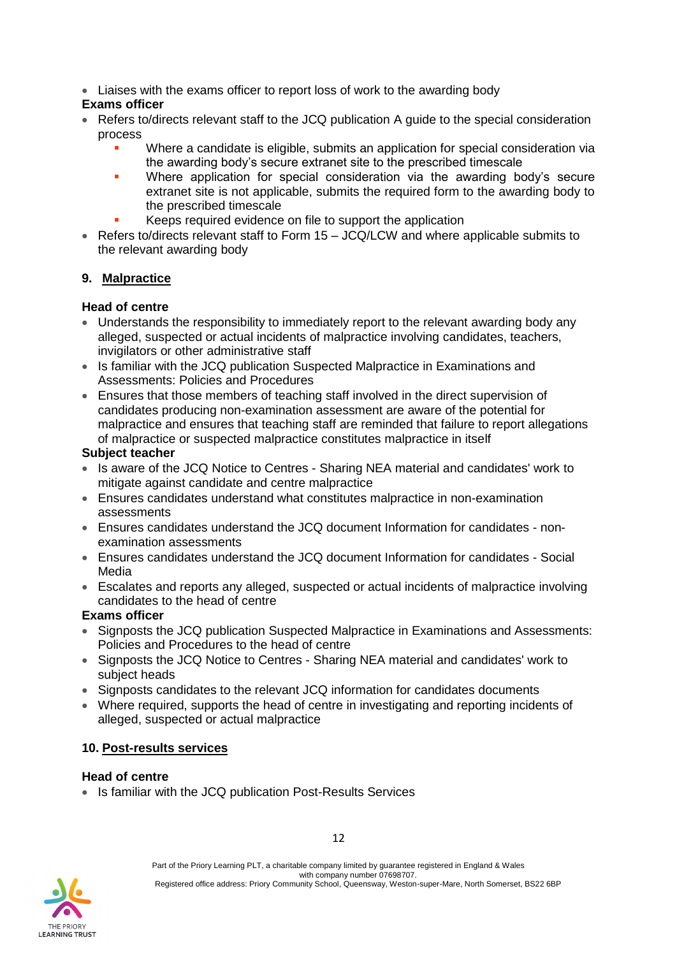• Liaises with the exams officer to report loss of work to the awarding body

## **Exams officer**

- Refers to/directs relevant staff to the JCQ publication [A guide to the special consideration](http://www.jcq.org.uk/exams-office/access-arrangements-and-special-consideration)  [process](http://www.jcq.org.uk/exams-office/access-arrangements-and-special-consideration) 
	- Where a candidate is eligible, submits an application for special consideration via the awarding body's secure extranet site to the prescribed timescale
	- Where application for special consideration via the awarding body's secure extranet site is not applicable, submits the required form to the awarding body to the prescribed timescale
	- Keeps required evidence on file to support the application
- Refers to/directs relevant staff to [Form 15 –](https://www.jcq.org.uk/exams-office/non-examinationassessments) JCQ/LCW and where applicable submits to the relevant awarding body

## **9. Malpractice**

## **Head of centre**

- Understands the responsibility to immediately report to the relevant awarding body any alleged, suspected or actual incidents of malpractice involving candidates, teachers, invigilators or other administrative staff
- Is familiar with the JCQ publication [Suspected Malpractice in Examinations and](http://www.jcq.org.uk/exams-office/malpractice)  [Assessments: Policies and Procedures](http://www.jcq.org.uk/exams-office/malpractice)
- Ensures that those members of teaching staff involved in the direct supervision of candidates producing non-examination assessment are aware of the potential for malpractice and ensures that teaching staff are reminded that failure to report allegations of malpractice or suspected malpractice constitutes malpractice in itself

## **Subject teacher**

- Is aware of the JCQ Notice to Centres [Sharing NEA material and candidates' work](http://www.jcq.org.uk/exams-office/non-examination-assessments) to mitigate against candidate and centre malpractice
- Ensures candidates understand what constitutes malpractice in non-examination assessments
- Ensures candidates understand the JCQ document [Information for candidates -](http://www.jcq.org.uk/exams-office/information-for-candidates-documents) non[examination assessments](http://www.jcq.org.uk/exams-office/information-for-candidates-documents)
- Ensures candidates understand the JCQ document [Information for candidates -](http://www.jcq.org.uk/exams-office/information-for-candidates-documents) Social [Media](http://www.jcq.org.uk/exams-office/information-for-candidates-documents)
- Escalates and reports any alleged, suspected or actual incidents of malpractice involving candidates to the head of centre

## **Exams officer**

- Signposts the JCQ publication [Suspected Malpractice in Examinations and Assessments:](http://www.jcq.org.uk/exams-office/malpractice)  [Policies and Procedures](http://www.jcq.org.uk/exams-office/malpractice) to the head of centre
- Signposts the JCQ Notice to Centres [Sharing NEA material and candidates' work](http://www.jcq.org.uk/exams-office/non-examination-assessments) to subject heads
- Signposts candidates to the relevant JCQ information for candidates documents
- Where required, supports the head of centre in investigating and reporting incidents of alleged, suspected or actual malpractice

## **10. Post-results services**

## **Head of centre**

• Is familiar with the JCQ publication [Post-Results Services](https://www.jcq.org.uk/exams-office/post-results-services)

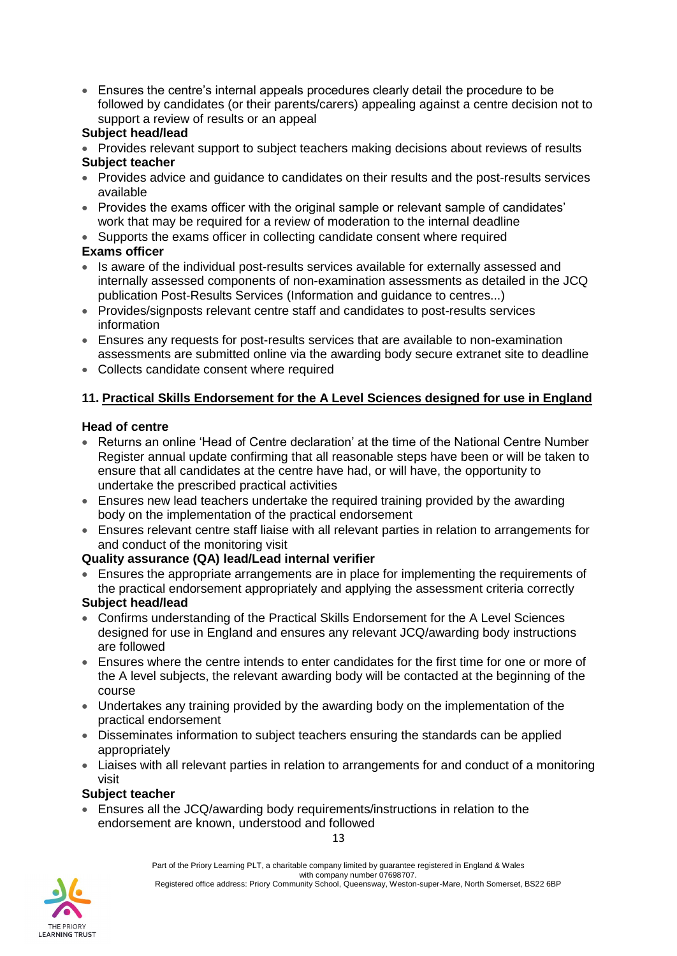• Ensures the centre's internal appeals procedures clearly detail the procedure to be followed by candidates (or their parents/carers) appealing against a centre decision not to support a review of results or an appeal

## **Subject head/lead**

- Provides relevant support to subject teachers making decisions about reviews of results **Subject teacher**
- Provides advice and quidance to candidates on their results and the post-results services available
- Provides the exams officer with the original sample or relevant sample of candidates' work that may be required for a review of moderation to the internal deadline
- Supports the exams officer in collecting candidate consent where required

## **Exams officer**

- Is aware of the individual post-results services available for externally assessed and internally assessed components of non-examination assessments as detailed in the JCQ publication [Post-Results Services](https://www.jcq.org.uk/exams-office/post-results-services) (Information and guidance to centres...)
- Provides/signposts relevant centre staff and candidates to post-results services information
- Ensures any requests for post-results services that are available to non-examination assessments are submitted online via the awarding body secure extranet site to deadline
- Collects candidate consent where required

## **11. Practical Skills Endorsement for the A Level Sciences designed for use in England**

## **Head of centre**

- Returns an online 'Head of Centre declaration' at the time of the National Centre Number Register annual update confirming that all reasonable steps have been or will be taken to ensure that all candidates at the centre have had, or will have, the opportunity to undertake the prescribed practical activities
- Ensures new lead teachers undertake the required training provided by the awarding body on the implementation of the practical endorsement
- Ensures relevant centre staff liaise with all relevant parties in relation to arrangements for and conduct of the monitoring visit

## **Quality assurance (QA) lead/Lead internal verifier**

• Ensures the appropriate arrangements are in place for implementing the requirements of the practical endorsement appropriately and applying the assessment criteria correctly

## **Subject head/lead**

- Confirms understanding of the Practical Skills Endorsement for the A Level Sciences designed for use in England and ensures any relevant JCQ/awarding body instructions are followed
- Ensures where the centre intends to enter candidates for the first time for one or more of the A level subjects, the relevant awarding body will be contacted at the beginning of the course
- Undertakes any training provided by the awarding body on the implementation of the practical endorsement
- Disseminates information to subject teachers ensuring the standards can be applied appropriately
- Liaises with all relevant parties in relation to arrangements for and conduct of a monitoring visit

#### **Subject teacher**

• Ensures all the JCQ/awarding body requirements/instructions in relation to the endorsement are known, understood and followed



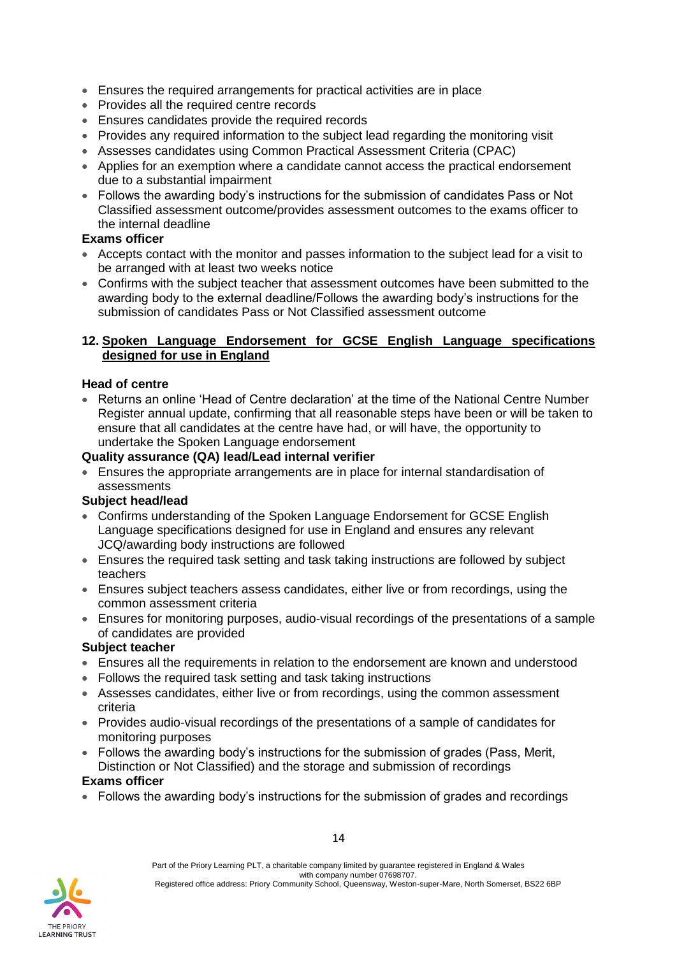- Ensures the required arrangements for practical activities are in place
- Provides all the required centre records
- Ensures candidates provide the required records
- Provides any required information to the subject lead regarding the monitoring visit
- Assesses candidates using Common Practical Assessment Criteria (CPAC)
- Applies for an exemption where a candidate cannot access the practical endorsement due to a substantial impairment
- Follows the awarding body's instructions for the submission of candidates Pass or Not Classified assessment outcome/provides assessment outcomes to the exams officer to the internal deadline

#### **Exams officer**

- Accepts contact with the monitor and passes information to the subject lead for a visit to be arranged with at least two weeks notice
- Confirms with the subject teacher that assessment outcomes have been submitted to the awarding body to the external deadline/Follows the awarding body's instructions for the submission of candidates Pass or Not Classified assessment outcome

#### **12. Spoken Language Endorsement for GCSE English Language specifications designed for use in England**

#### **Head of centre**

• Returns an online 'Head of Centre declaration' at the time of the National Centre Number Register annual update, confirming that all reasonable steps have been or will be taken to ensure that all candidates at the centre have had, or will have, the opportunity to undertake the Spoken Language endorsement

#### **Quality assurance (QA) lead/Lead internal verifier**

• Ensures the appropriate arrangements are in place for internal standardisation of assessments

## **Subject head/lead**

- Confirms understanding of the Spoken Language Endorsement for GCSE English Language specifications designed for use in England and ensures any relevant JCQ/awarding body instructions are followed
- Ensures the required task setting and task taking instructions are followed by subject teachers
- Ensures subject teachers assess candidates, either live or from recordings, using the common assessment criteria
- Ensures for monitoring purposes, audio-visual recordings of the presentations of a sample of candidates are provided

#### **Subject teacher**

- Ensures all the requirements in relation to the endorsement are known and understood
- Follows the required task setting and task taking instructions
- Assesses candidates, either live or from recordings, using the common assessment criteria
- Provides audio-visual recordings of the presentations of a sample of candidates for monitoring purposes
- Follows the awarding body's instructions for the submission of grades (Pass, Merit, Distinction or Not Classified) and the storage and submission of recordings

#### **Exams officer**

• Follows the awarding body's instructions for the submission of grades and recordings